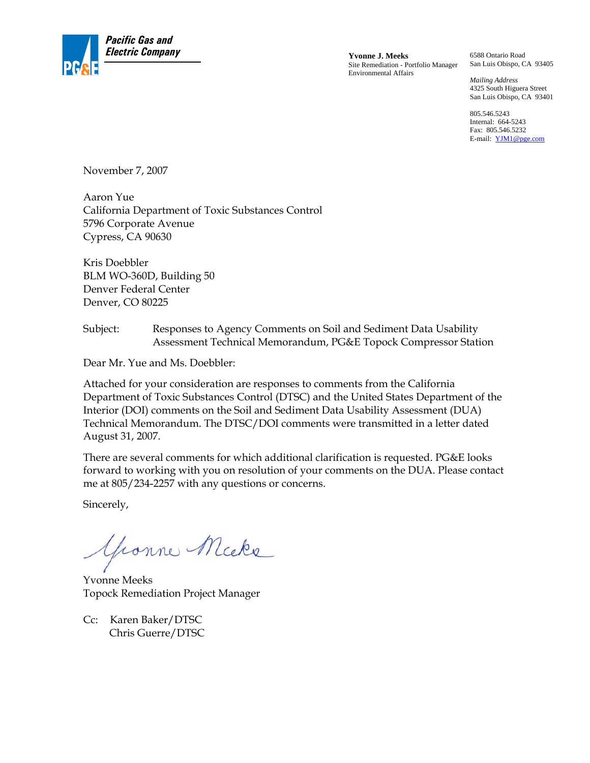

Site Remediation - Portfolio Manager Environmental Affairs

6588 Ontario Road San Luis Obispo, CA 93405

*Mailing Address*  4325 South Higuera Street San Luis Obispo, CA 93401

805.546.5243 Internal: 664-5243 Fax: 805.546.5232 E-mail: YJM1@pge.com

November 7, 2007

Aaron Yue California Department of Toxic Substances Control 5796 Corporate Avenue Cypress, CA 90630

Kris Doebbler BLM WO-360D, Building 50 Denver Federal Center Denver, CO 80225

#### Subject: Responses to Agency Comments on Soil and Sediment Data Usability Assessment Technical Memorandum, PG&E Topock Compressor Station

Dear Mr. Yue and Ms. Doebbler:

Attached for your consideration are responses to comments from the California Department of Toxic Substances Control (DTSC) and the United States Department of the Interior (DOI) comments on the Soil and Sediment Data Usability Assessment (DUA) Technical Memorandum. The DTSC/DOI comments were transmitted in a letter dated August 31, 2007.

There are several comments for which additional clarification is requested. PG&E looks forward to working with you on resolution of your comments on the DUA. Please contact me at 805/234-2257 with any questions or concerns.

Sincerely,

Yeanne Micke

Yvonne Meeks Topock Remediation Project Manager

Cc: Karen Baker/DTSC Chris Guerre/DTSC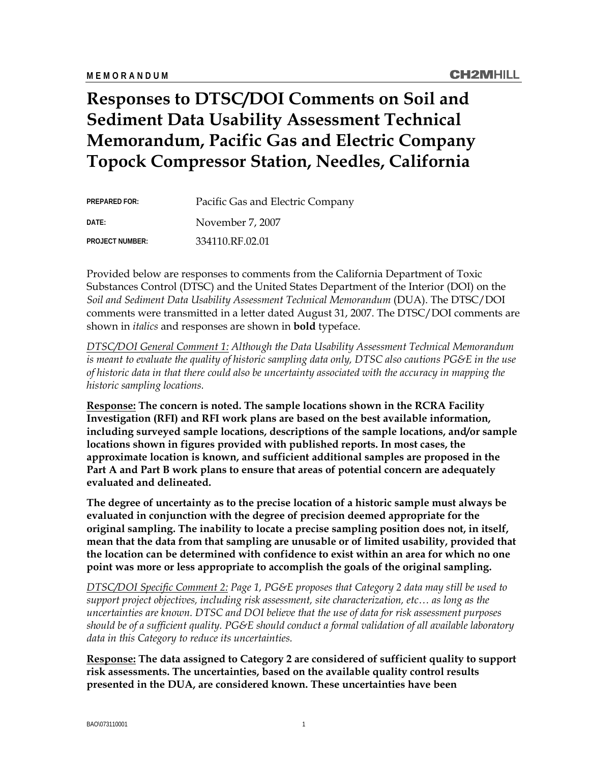# **Responses to DTSC/DOI Comments on Soil and Sediment Data Usability Assessment Technical Memorandum, Pacific Gas and Electric Company Topock Compressor Station, Needles, California**

| <b>PREPARED FOR:</b>   | Pacific Gas and Electric Company |
|------------------------|----------------------------------|
| DATF:                  | November 7, 2007                 |
| <b>PROJECT NUMBER:</b> | 334110.RF.02.01                  |

Provided below are responses to comments from the California Department of Toxic Substances Control (DTSC) and the United States Department of the Interior (DOI) on the *Soil and Sediment Data Usability Assessment Technical Memorandum* (DUA). The DTSC/DOI comments were transmitted in a letter dated August 31, 2007. The DTSC/DOI comments are shown in *italics* and responses are shown in **bold** typeface.

*DTSC/DOI General Comment 1: Although the Data Usability Assessment Technical Memorandum is meant to evaluate the quality of historic sampling data only, DTSC also cautions PG&E in the use of historic data in that there could also be uncertainty associated with the accuracy in mapping the historic sampling locations.* 

**Response: The concern is noted. The sample locations shown in the RCRA Facility Investigation (RFI) and RFI work plans are based on the best available information, including surveyed sample locations, descriptions of the sample locations, and/or sample locations shown in figures provided with published reports. In most cases, the approximate location is known, and sufficient additional samples are proposed in the Part A and Part B work plans to ensure that areas of potential concern are adequately evaluated and delineated.** 

**The degree of uncertainty as to the precise location of a historic sample must always be evaluated in conjunction with the degree of precision deemed appropriate for the original sampling. The inability to locate a precise sampling position does not, in itself, mean that the data from that sampling are unusable or of limited usability, provided that the location can be determined with confidence to exist within an area for which no one point was more or less appropriate to accomplish the goals of the original sampling.** 

*DTSC/DOI Specific Comment 2: Page 1, PG&E proposes that Category 2 data may still be used to support project objectives, including risk assessment, site characterization, etc… as long as the uncertainties are known. DTSC and DOI believe that the use of data for risk assessment purposes should be of a sufficient quality. PG&E should conduct a formal validation of all available laboratory data in this Category to reduce its uncertainties.* 

**Response: The data assigned to Category 2 are considered of sufficient quality to support risk assessments. The uncertainties, based on the available quality control results presented in the DUA, are considered known. These uncertainties have been**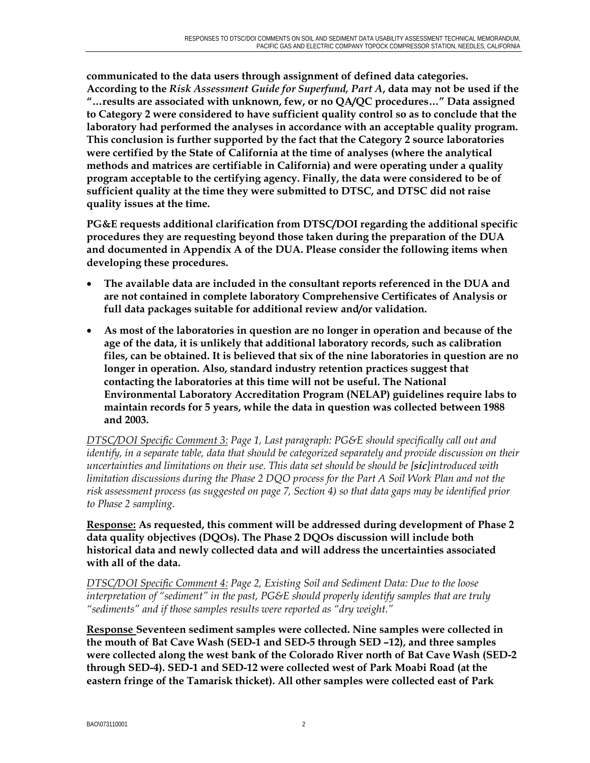**communicated to the data users through assignment of defined data categories. According to the** *Risk Assessment Guide for Superfund, Part A***, data may not be used if the "…results are associated with unknown, few, or no QA/QC procedures…" Data assigned to Category 2 were considered to have sufficient quality control so as to conclude that the laboratory had performed the analyses in accordance with an acceptable quality program. This conclusion is further supported by the fact that the Category 2 source laboratories were certified by the State of California at the time of analyses (where the analytical methods and matrices are certifiable in California) and were operating under a quality program acceptable to the certifying agency. Finally, the data were considered to be of sufficient quality at the time they were submitted to DTSC, and DTSC did not raise quality issues at the time.** 

**PG&E requests additional clarification from DTSC/DOI regarding the additional specific procedures they are requesting beyond those taken during the preparation of the DUA and documented in Appendix A of the DUA. Please consider the following items when developing these procedures.** 

- **The available data are included in the consultant reports referenced in the DUA and are not contained in complete laboratory Comprehensive Certificates of Analysis or full data packages suitable for additional review and/or validation.**
- **As most of the laboratories in question are no longer in operation and because of the age of the data, it is unlikely that additional laboratory records, such as calibration files, can be obtained. It is believed that six of the nine laboratories in question are no longer in operation. Also, standard industry retention practices suggest that contacting the laboratories at this time will not be useful. The National Environmental Laboratory Accreditation Program (NELAP) guidelines require labs to maintain records for 5 years, while the data in question was collected between 1988 and 2003.**

*DTSC/DOI Specific Comment 3: Page 1, Last paragraph: PG&E should specifically call out and identify, in a separate table, data that should be categorized separately and provide discussion on their uncertainties and limitations on their use. This data set should be should be [sic]introduced with limitation discussions during the Phase 2 DQO process for the Part A Soil Work Plan and not the risk assessment process (as suggested on page 7, Section 4) so that data gaps may be identified prior to Phase 2 sampling.* 

**Response: As requested, this comment will be addressed during development of Phase 2 data quality objectives (DQOs). The Phase 2 DQOs discussion will include both historical data and newly collected data and will address the uncertainties associated with all of the data.** 

*DTSC/DOI Specific Comment 4: Page 2, Existing Soil and Sediment Data: Due to the loose interpretation of "sediment" in the past, PG&E should properly identify samples that are truly "sediments" and if those samples results were reported as "dry weight."*

**Response Seventeen sediment samples were collected. Nine samples were collected in the mouth of Bat Cave Wash (SED-1 and SED-5 through SED –12), and three samples were collected along the west bank of the Colorado River north of Bat Cave Wash (SED-2 through SED-4). SED-1 and SED-12 were collected west of Park Moabi Road (at the eastern fringe of the Tamarisk thicket). All other samples were collected east of Park**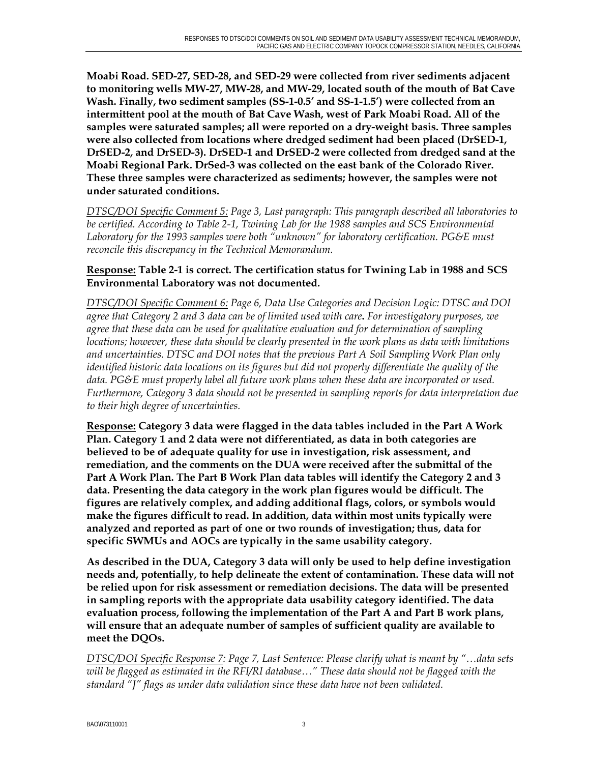**Moabi Road. SED-27, SED-28, and SED-29 were collected from river sediments adjacent to monitoring wells MW-27, MW-28, and MW-29, located south of the mouth of Bat Cave Wash. Finally, two sediment samples (SS-1-0.5' and SS-1-1.5') were collected from an intermittent pool at the mouth of Bat Cave Wash, west of Park Moabi Road. All of the samples were saturated samples; all were reported on a dry-weight basis. Three samples were also collected from locations where dredged sediment had been placed (DrSED-1, DrSED-2, and DrSED-3). DrSED-1 and DrSED-2 were collected from dredged sand at the Moabi Regional Park. DrSed-3 was collected on the east bank of the Colorado River. These three samples were characterized as sediments; however, the samples were not under saturated conditions.** 

*DTSC/DOI Specific Comment 5: Page 3, Last paragraph: This paragraph described all laboratories to be certified. According to Table 2-1, Twining Lab for the 1988 samples and SCS Environmental Laboratory for the 1993 samples were both "unknown" for laboratory certification. PG&E must reconcile this discrepancy in the Technical Memorandum.* 

#### **Response: Table 2-1 is correct. The certification status for Twining Lab in 1988 and SCS Environmental Laboratory was not documented.**

*DTSC/DOI Specific Comment 6: Page 6, Data Use Categories and Decision Logic: DTSC and DOI agree that Category 2 and 3 data can be of limited used with care***.** *For investigatory purposes, we agree that these data can be used for qualitative evaluation and for determination of sampling locations; however, these data should be clearly presented in the work plans as data with limitations and uncertainties. DTSC and DOI notes that the previous Part A Soil Sampling Work Plan only identified historic data locations on its figures but did not properly differentiate the quality of the data. PG&E must properly label all future work plans when these data are incorporated or used. Furthermore, Category 3 data should not be presented in sampling reports for data interpretation due to their high degree of uncertainties.*

**Response: Category 3 data were flagged in the data tables included in the Part A Work Plan. Category 1 and 2 data were not differentiated, as data in both categories are believed to be of adequate quality for use in investigation, risk assessment, and remediation, and the comments on the DUA were received after the submittal of the Part A Work Plan. The Part B Work Plan data tables will identify the Category 2 and 3 data. Presenting the data category in the work plan figures would be difficult. The figures are relatively complex, and adding additional flags, colors, or symbols would make the figures difficult to read. In addition, data within most units typically were analyzed and reported as part of one or two rounds of investigation; thus, data for specific SWMUs and AOCs are typically in the same usability category.** 

**As described in the DUA, Category 3 data will only be used to help define investigation needs and, potentially, to help delineate the extent of contamination. These data will not be relied upon for risk assessment or remediation decisions. The data will be presented in sampling reports with the appropriate data usability category identified. The data evaluation process, following the implementation of the Part A and Part B work plans, will ensure that an adequate number of samples of sufficient quality are available to meet the DQOs.** 

*DTSC/DOI Specific Response 7: Page 7, Last Sentence: Please clarify what is meant by "…data sets will be flagged as estimated in the RFI/RI database…" These data should not be flagged with the standard "J" flags as under data validation since these data have not been validated.*